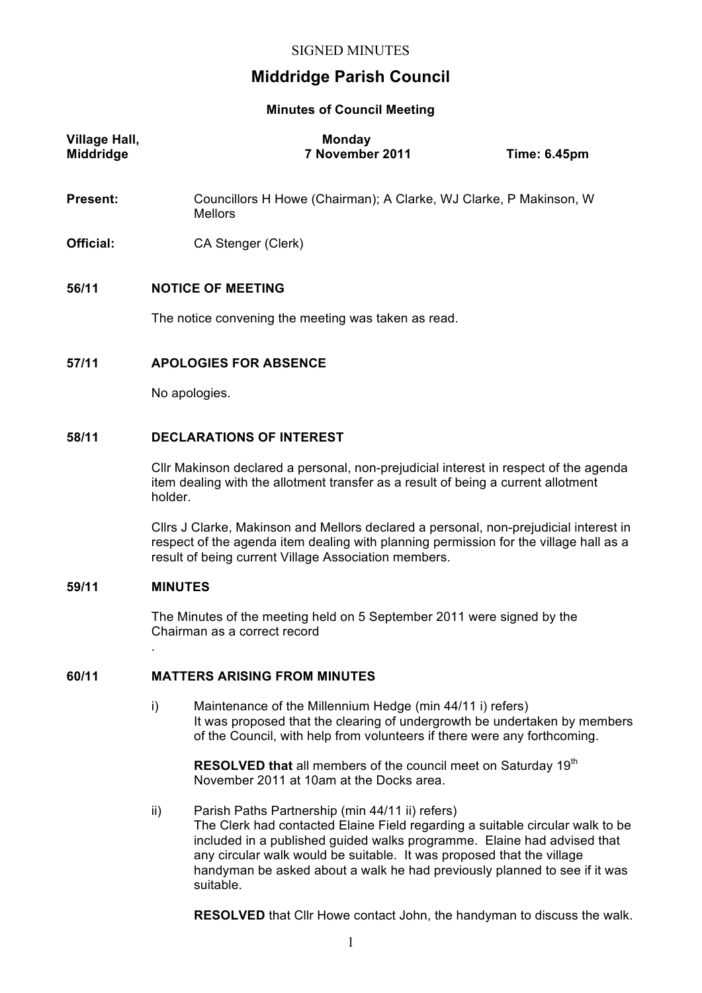# **Middridge Parish Council**

## **Minutes of Council Meeting**

| Village Hall,<br><b>Middridge</b> | <b>Monday</b><br>7 November 2011                                                    | <b>Time: 6.45pm</b> |
|-----------------------------------|-------------------------------------------------------------------------------------|---------------------|
| <b>Present:</b>                   | Councillors H Howe (Chairman); A Clarke, WJ Clarke, P Makinson, W<br><b>Mellors</b> |                     |
| Official:                         | CA Stenger (Clerk)                                                                  |                     |
| 56/11                             | <b>NOTICE OF MEETING</b><br>The notice convening the meeting was taken as read.     |                     |
| 57/11                             | <b>APOLOGIES FOR ABSENCE</b>                                                        |                     |

No apologies.

## **58/11 DECLARATIONS OF INTEREST**

Cllr Makinson declared a personal, non-prejudicial interest in respect of the agenda item dealing with the allotment transfer as a result of being a current allotment holder.

Cllrs J Clarke, Makinson and Mellors declared a personal, non-prejudicial interest in respect of the agenda item dealing with planning permission for the village hall as a result of being current Village Association members.

#### **59/11 MINUTES**

.

The Minutes of the meeting held on 5 September 2011 were signed by the Chairman as a correct record

## **60/11 MATTERS ARISING FROM MINUTES**

i) Maintenance of the Millennium Hedge (min 44/11 i) refers) It was proposed that the clearing of undergrowth be undertaken by members of the Council, with help from volunteers if there were any forthcoming.

**RESOLVED that** all members of the council meet on Saturday 19<sup>th</sup> November 2011 at 10am at the Docks area.

ii) Parish Paths Partnership (min 44/11 ii) refers) The Clerk had contacted Elaine Field regarding a suitable circular walk to be included in a published guided walks programme. Elaine had advised that any circular walk would be suitable. It was proposed that the village handyman be asked about a walk he had previously planned to see if it was suitable.

**RESOLVED** that Cllr Howe contact John, the handyman to discuss the walk.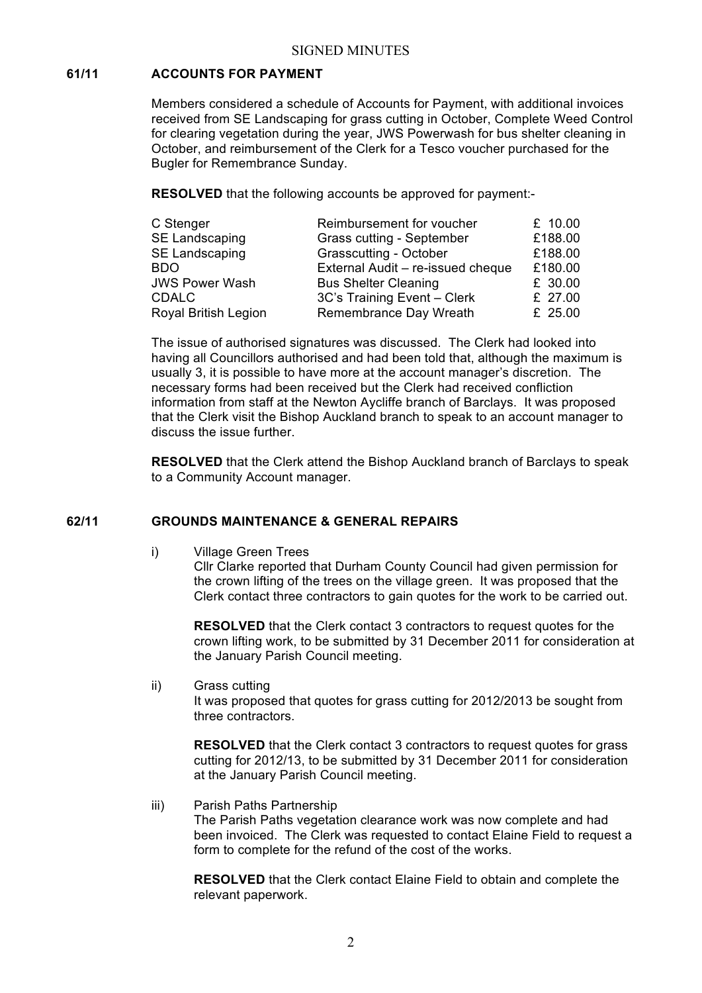## **61/11 ACCOUNTS FOR PAYMENT**

Members considered a schedule of Accounts for Payment, with additional invoices received from SE Landscaping for grass cutting in October, Complete Weed Control for clearing vegetation during the year, JWS Powerwash for bus shelter cleaning in October, and reimbursement of the Clerk for a Tesco voucher purchased for the Bugler for Remembrance Sunday.

**RESOLVED** that the following accounts be approved for payment:-

| C Stenger             | Reimbursement for voucher         | £ 10.00 |
|-----------------------|-----------------------------------|---------|
| SE Landscaping        | Grass cutting - September         | £188.00 |
| SE Landscaping        | Grasscutting - October            | £188.00 |
| <b>BDO</b>            | External Audit - re-issued cheque | £180.00 |
| <b>JWS Power Wash</b> | <b>Bus Shelter Cleaning</b>       | £ 30.00 |
| <b>CDALC</b>          | 3C's Training Event - Clerk       | £ 27.00 |
| Royal British Legion  | Remembrance Day Wreath            | £ 25.00 |

The issue of authorised signatures was discussed. The Clerk had looked into having all Councillors authorised and had been told that, although the maximum is usually 3, it is possible to have more at the account manager's discretion. The necessary forms had been received but the Clerk had received confliction information from staff at the Newton Aycliffe branch of Barclays. It was proposed that the Clerk visit the Bishop Auckland branch to speak to an account manager to discuss the issue further.

**RESOLVED** that the Clerk attend the Bishop Auckland branch of Barclays to speak to a Community Account manager.

#### **62/11 GROUNDS MAINTENANCE & GENERAL REPAIRS**

i) Village Green Trees

Cllr Clarke reported that Durham County Council had given permission for the crown lifting of the trees on the village green. It was proposed that the Clerk contact three contractors to gain quotes for the work to be carried out.

**RESOLVED** that the Clerk contact 3 contractors to request quotes for the crown lifting work, to be submitted by 31 December 2011 for consideration at the January Parish Council meeting.

ii) Grass cutting

It was proposed that quotes for grass cutting for 2012/2013 be sought from three contractors.

**RESOLVED** that the Clerk contact 3 contractors to request quotes for grass cutting for 2012/13, to be submitted by 31 December 2011 for consideration at the January Parish Council meeting.

iii) Parish Paths Partnership The Parish Paths vegetation clearance work was now complete and had been invoiced. The Clerk was requested to contact Elaine Field to request a form to complete for the refund of the cost of the works.

**RESOLVED** that the Clerk contact Elaine Field to obtain and complete the relevant paperwork.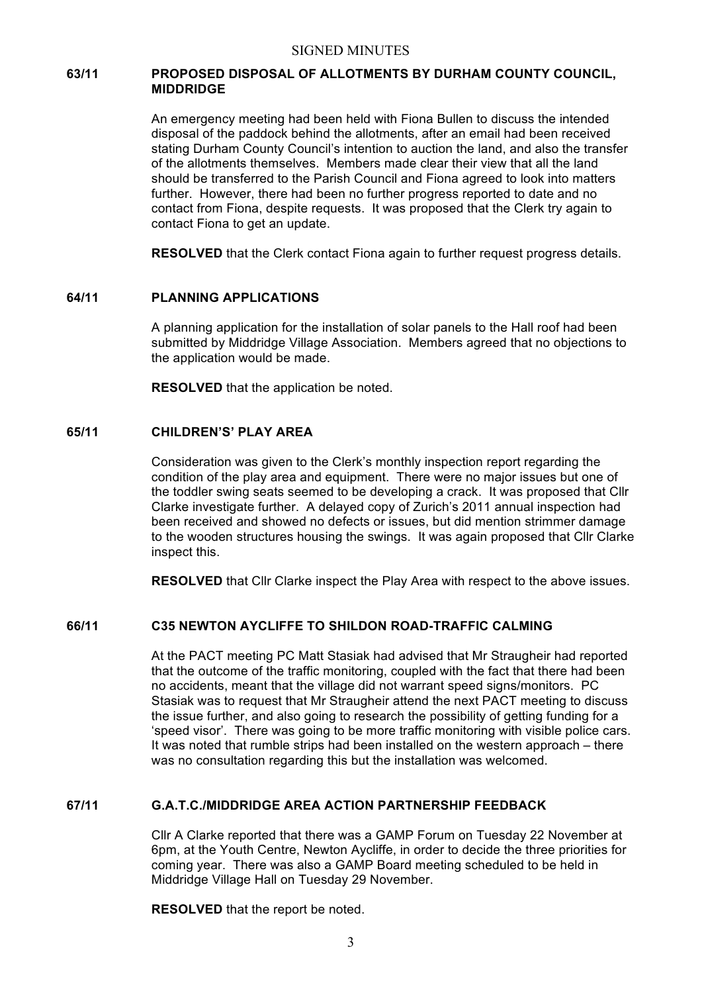#### SIGNED MINUTES

## **63/11 PROPOSED DISPOSAL OF ALLOTMENTS BY DURHAM COUNTY COUNCIL, MIDDRIDGE**

An emergency meeting had been held with Fiona Bullen to discuss the intended disposal of the paddock behind the allotments, after an email had been received stating Durham County Council's intention to auction the land, and also the transfer of the allotments themselves. Members made clear their view that all the land should be transferred to the Parish Council and Fiona agreed to look into matters further. However, there had been no further progress reported to date and no contact from Fiona, despite requests. It was proposed that the Clerk try again to contact Fiona to get an update.

**RESOLVED** that the Clerk contact Fiona again to further request progress details.

#### **64/11 PLANNING APPLICATIONS**

A planning application for the installation of solar panels to the Hall roof had been submitted by Middridge Village Association. Members agreed that no objections to the application would be made.

**RESOLVED** that the application be noted.

## **65/11 CHILDREN'S' PLAY AREA**

Consideration was given to the Clerk's monthly inspection report regarding the condition of the play area and equipment. There were no major issues but one of the toddler swing seats seemed to be developing a crack. It was proposed that Cllr Clarke investigate further. A delayed copy of Zurich's 2011 annual inspection had been received and showed no defects or issues, but did mention strimmer damage to the wooden structures housing the swings. It was again proposed that Cllr Clarke inspect this.

**RESOLVED** that Cllr Clarke inspect the Play Area with respect to the above issues.

## **66/11 C35 NEWTON AYCLIFFE TO SHILDON ROAD-TRAFFIC CALMING**

At the PACT meeting PC Matt Stasiak had advised that Mr Straugheir had reported that the outcome of the traffic monitoring, coupled with the fact that there had been no accidents, meant that the village did not warrant speed signs/monitors. PC Stasiak was to request that Mr Straugheir attend the next PACT meeting to discuss the issue further, and also going to research the possibility of getting funding for a 'speed visor'. There was going to be more traffic monitoring with visible police cars. It was noted that rumble strips had been installed on the western approach – there was no consultation regarding this but the installation was welcomed.

#### **67/11 G.A.T.C./MIDDRIDGE AREA ACTION PARTNERSHIP FEEDBACK**

Cllr A Clarke reported that there was a GAMP Forum on Tuesday 22 November at 6pm, at the Youth Centre, Newton Aycliffe, in order to decide the three priorities for coming year. There was also a GAMP Board meeting scheduled to be held in Middridge Village Hall on Tuesday 29 November.

**RESOLVED** that the report be noted.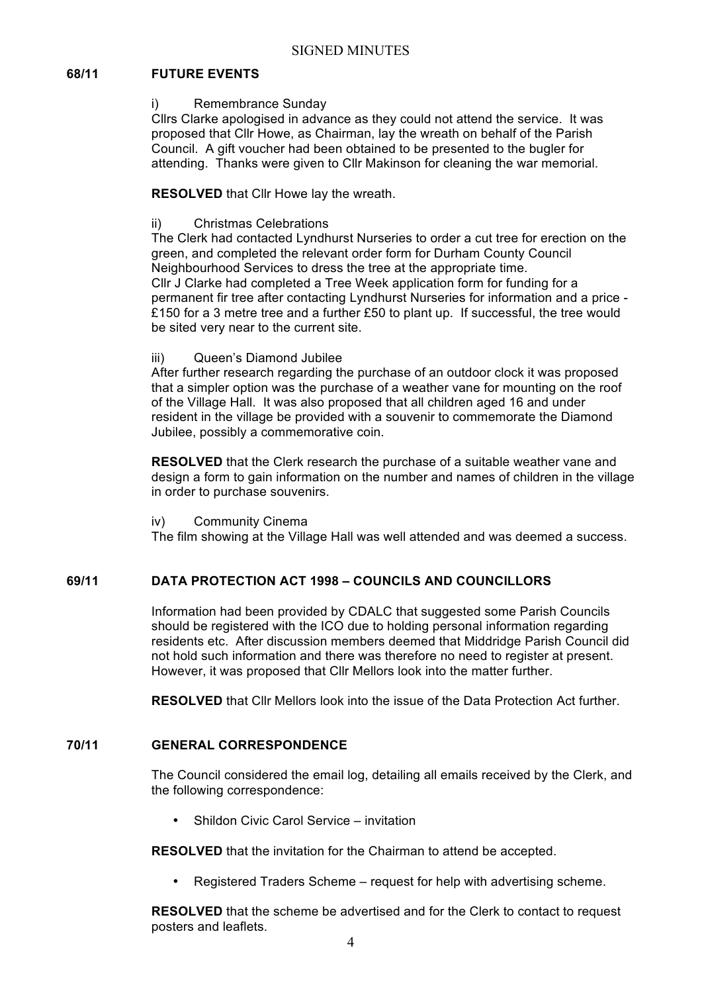## **68/11 FUTURE EVENTS**

#### i) Remembrance Sunday

Cllrs Clarke apologised in advance as they could not attend the service. It was proposed that Cllr Howe, as Chairman, lay the wreath on behalf of the Parish Council. A gift voucher had been obtained to be presented to the bugler for attending. Thanks were given to Cllr Makinson for cleaning the war memorial.

**RESOLVED** that Cllr Howe lay the wreath.

ii) Christmas Celebrations

The Clerk had contacted Lyndhurst Nurseries to order a cut tree for erection on the green, and completed the relevant order form for Durham County Council Neighbourhood Services to dress the tree at the appropriate time. Cllr J Clarke had completed a Tree Week application form for funding for a permanent fir tree after contacting Lyndhurst Nurseries for information and a price - £150 for a 3 metre tree and a further £50 to plant up. If successful, the tree would be sited very near to the current site.

## iii) Queen's Diamond Jubilee

After further research regarding the purchase of an outdoor clock it was proposed that a simpler option was the purchase of a weather vane for mounting on the roof of the Village Hall. It was also proposed that all children aged 16 and under resident in the village be provided with a souvenir to commemorate the Diamond Jubilee, possibly a commemorative coin.

**RESOLVED** that the Clerk research the purchase of a suitable weather vane and design a form to gain information on the number and names of children in the village in order to purchase souvenirs.

#### iv) Community Cinema

The film showing at the Village Hall was well attended and was deemed a success.

## **69/11 DATA PROTECTION ACT 1998 – COUNCILS AND COUNCILLORS**

Information had been provided by CDALC that suggested some Parish Councils should be registered with the ICO due to holding personal information regarding residents etc. After discussion members deemed that Middridge Parish Council did not hold such information and there was therefore no need to register at present. However, it was proposed that Cllr Mellors look into the matter further.

**RESOLVED** that Cllr Mellors look into the issue of the Data Protection Act further.

## **70/11 GENERAL CORRESPONDENCE**

The Council considered the email log, detailing all emails received by the Clerk, and the following correspondence:

• Shildon Civic Carol Service – invitation

**RESOLVED** that the invitation for the Chairman to attend be accepted.

• Registered Traders Scheme – request for help with advertising scheme.

**RESOLVED** that the scheme be advertised and for the Clerk to contact to request posters and leaflets.